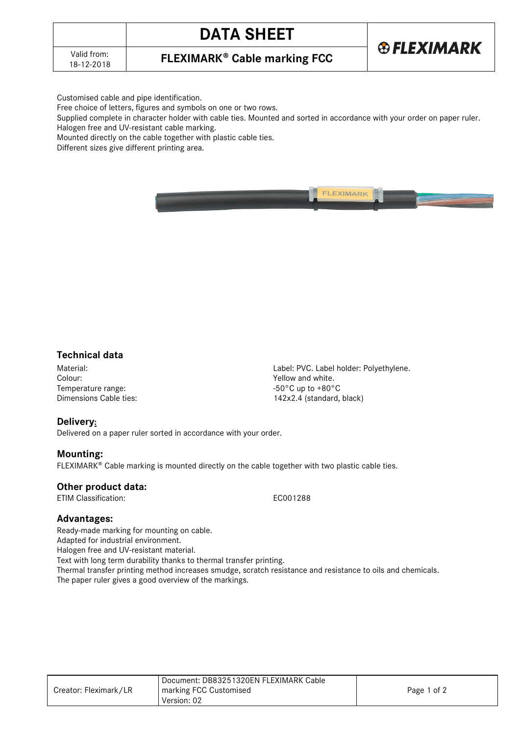# **DATA SHEET**



**FLEXIMARK<sup>®</sup> Cable marking FCC** 

Customised cable and pipe identification.

Free choice of letters, figures and symbols on one or two rows.

Supplied complete in character holder with cable ties. Mounted and sorted in accordance with your order on paper ruler.

Halogen free and UV-resistant cable marking.

Mounted directly on the cable together with plastic cable ties.

Different sizes give different printing area.



## **Technical data**

Temperature range:<br>
Dimensions Cable ties:<br>  $142 \times 2.4$  (standard,

Material: Material: Express of the Colour: Polyethylene.<br>
Colour: Colour: Polyethylene. Colour: Polyethylene. Colour: Polyethylene. Colour: Polyethylene. Colour: Polyethylene. Yellow and white. 142x2.4 (standard, black)

# **Delivery:**

Delivered on a paper ruler sorted in accordance with your order.

## **Mounting:**

 $FLEXIMARK<sup>®</sup>$  Cable marking is mounted directly on the cable together with two plastic cable ties.

#### **Other product data:**

ETIM Classification: ECO01288

## **Advantages:**

Ready-made marking for mounting on cable. Adapted for industrial environment. Halogen free and UV-resistant material. Text with long term durability thanks to thermal transfer printing. Thermal transfer printing method increases smudge, scratch resistance and resistance to oils and chemicals. The paper ruler gives a good overview of the markings.

|                       | Document: DB83251320EN FLEXIMARK Cable |             |
|-----------------------|----------------------------------------|-------------|
| Creator: Fleximark/LR | marking FCC Customised                 | Page 1 of 2 |
|                       | Version: 02                            |             |